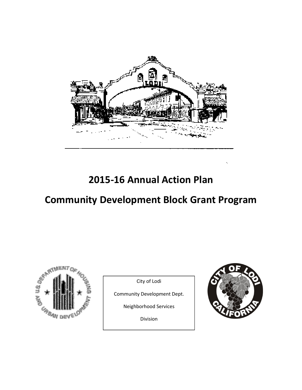

2015-16 Annual Action Plan

# Community Development Block Grant Program



City of Lodi

Community Development Dept.

Neighborhood Services

Division

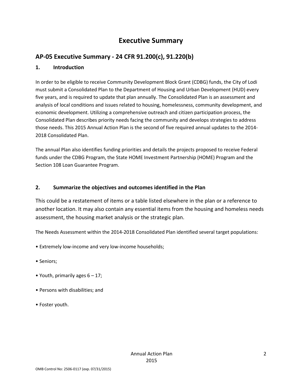# Executive Summary

# AP-05 Executive Summary - 24 CFR 91.200(c), 91.220(b)

#### 1. Introduction

In order to be eligible to receive Community Development Block Grant (CDBG) funds, the City of Lodi must submit a Consolidated Plan to the Department of Housing and Urban Development (HUD) every five years, and is required to update that plan annually. The Consolidated Plan is an assessment and analysis of local conditions and issues related to housing, homelessness, community development, and economic development. Utilizing a comprehensive outreach and citizen participation process, the Consolidated Plan describes priority needs facing the community and develops strategies to address those needs. This 2015 Annual Action Plan is the second of five required annual updates to the 2014- 2018 Consolidated Plan.

The annual Plan also identifies funding priorities and details the projects proposed to receive Federal funds under the CDBG Program, the State HOME Investment Partnership (HOME) Program and the Section 108 Loan Guarantee Program.

#### 2. Summarize the objectives and outcomes identified in the Plan

This could be a restatement of items or a table listed elsewhere in the plan or a reference to another location. It may also contain any essential items from the housing and homeless needs assessment, the housing market analysis or the strategic plan.

The Needs Assessment within the 2014-2018 Consolidated Plan identified several target populations:

- Extremely low-income and very low-income households;
- Seniors;
- Youth, primarily ages  $6 17$ ;
- Persons with disabilities; and
- Foster youth.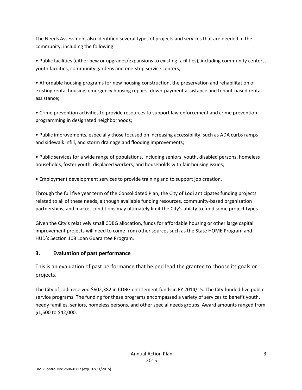The Needs Assessment also identified several types of projects and services that are needed in the community, including the following:

• Public facilities (either new or upgrades/expansions to existing facilities), including community centers, youth facilities, community gardens and one-stop service centers;

• Affordable housing programs for new housing construction, the preservation and rehabilitation of existing rental housing, emergency housing repairs, down-payment assistance and tenant-based rental assistance;

• Crime prevention activities to provide resources to support law enforcement and crime prevention programming in designated neighborhoods;

• Public improvements, especially those focused on increasing accessibility, such as ADA curbs ramps and sidewalk infill, and storm drainage and flooding improvements;

• Public services for a wide range of populations, including seniors, youth, disabled persons, homeless households, foster youth, displaced workers, and households with fair housing issues;

• Employment development services to provide training and to support job creation.

Through the full five year term of the Consolidated Plan, the City of Lodi anticipates funding projects related to all of these needs, although available funding resources, community-based organization partnerships, and market conditions may ultimately limit the City's ability to fund some project types.

Given the City's relatively small CDBG allocation, funds for affordable housing or other large capital improvement projects will need to come from other sources such as the State HOME Program and HUD's Section 108 Loan Guarantee Program.

### 3. Evaluation of past performance

This is an evaluation of past performance that helped lead the grantee to choose its goals or projects.

The City of Lodi received \$602,382 in CDBG entitlement funds in FY 2014/15. The City funded five public service programs. The funding for these programs encompassed a variety of services to benefit youth, needy families, seniors, homeless persons, and other special needs groups. Award amounts ranged from \$1,500 to \$42,000.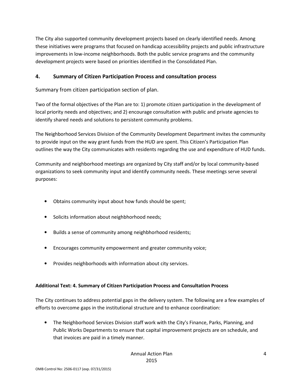The City also supported community development projects based on clearly identified needs. Among these initiatives were programs that focused on handicap accessibility projects and public infrastructure improvements in low-income neighborhoods. Both the public service programs and the community development projects were based on priorities identified in the Consolidated Plan.

#### 4. Summary of Citizen Participation Process and consultation process

Summary from citizen participation section of plan.

Two of the formal objectives of the Plan are to: 1) promote citizen participation in the development of local priority needs and objectives; and 2) encourage consultation with public and private agencies to identify shared needs and solutions to persistent community problems.

The Neighborhood Services Division of the Community Development Department invites the community to provide input on the way grant funds from the HUD are spent. This Citizen's Participation Plan outlines the way the City communicates with residents regarding the use and expenditure of HUD funds.

Community and neighborhood meetings are organized by City staff and/or by local community-based organizations to seek community input and identify community needs. These meetings serve several purposes:

- Obtains community input about how funds should be spent;
- Solicits information about neighbhorhood needs;
- Builds a sense of community among neighbhorhood residents;
- Encourages community empowerment and greater community voice;
- Provides neighborhoods with information about city services.

#### Additional Text: 4. Summary of Citizen Participation Process and Consultation Process

The City continues to address potential gaps in the delivery system. The following are a few examples of efforts to overcome gaps in the institutional structure and to enhance coordination:

• The Neighborhood Services Division staff work with the City's Finance, Parks, Planning, and Public Works Departments to ensure that capital improvement projects are on schedule, and that invoices are paid in a timely manner.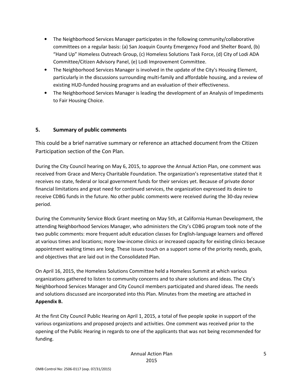- The Neighborhood Services Manager participates in the following community/collaborative committees on a regular basis: (a) San Joaquin County Emergency Food and Shelter Board, (b) "Hand Up" Homeless Outreach Group, (c) Homeless Solutions Task Force, (d) City of Lodi ADA Committee/Citizen Advisory Panel, (e) Lodi Improvement Committee.
- The Neighborhood Services Manager is involved in the update of the City's Housing Element, particularly in the discussions surrounding multi-family and affordable housing, and a review of existing HUD-funded housing programs and an evaluation of their effectiveness.
- The Neighborhood Services Manager is leading the development of an Analysis of Impediments to Fair Housing Choice.

#### 5. Summary of public comments

This could be a brief narrative summary or reference an attached document from the Citizen Participation section of the Con Plan.

During the City Council hearing on May 6, 2015, to approve the Annual Action Plan, one comment was received from Grace and Mercy Charitable Foundation. The organization's representative stated that it receives no state, federal or local government funds for their services yet. Because of private donor financial limitations and great need for continued services, the organization expressed its desire to receive CDBG funds in the future. No other public comments were received during the 30-day review period.

During the Community Service Block Grant meeting on May 5th, at California Human Development, the attending Neighborhood Services Manager, who administers the City's CDBG program took note of the two public comments: more frequent adult education classes for English-language learners and offered at various times and locations; more low-income clinics or increased capacity for existing clinics because appointment waiting times are long. These issues touch on a support some of the priority needs, goals, and objectives that are laid out in the Consolidated Plan.

On April 16, 2015, the Homeless Solutions Committee held a Homeless Summit at which various organizations gathered to listen to community concerns and to share solutions and ideas. The City's Neighborhood Services Manager and City Council members participated and shared ideas. The needs and solutions discussed are incorporated into this Plan. Minutes from the meeting are attached in Appendix B.

At the first City Council Public Hearing on April 1, 2015, a total of five people spoke in support of the various organizations and proposed projects and activities. One comment was received prior to the opening of the Public Hearing in regards to one of the applicants that was not being recommended for funding.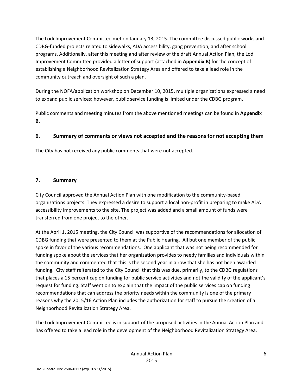The Lodi Improvement Committee met on January 13, 2015. The committee discussed public works and CDBG-funded projects related to sidewalks, ADA accessibility, gang prevention, and after school programs. Additionally, after this meeting and after review of the draft Annual Action Plan, the Lodi Improvement Committee provided a letter of support (attached in Appendix B) for the concept of establishing a Neighborhood Revitalization Strategy Area and offered to take a lead role in the community outreach and oversight of such a plan.

During the NOFA/application workshop on December 10, 2015, multiple organizations expressed a need to expand public services; however, public service funding is limited under the CDBG program.

Public comments and meeting minutes from the above mentioned meetings can be found in Appendix B.

#### 6. Summary of comments or views not accepted and the reasons for not accepting them

The City has not received any public comments that were not accepted.

#### 7. Summary

City Council approved the Annual Action Plan with one modification to the community-based organizations projects. They expressed a desire to support a local non-profit in preparing to make ADA accessibility improvements to the site. The project was added and a small amount of funds were transferred from one project to the other.

At the April 1, 2015 meeting, the City Council was supportive of the recommendations for allocation of CDBG funding that were presented to them at the Public Hearing. All but one member of the public spoke in favor of the various recommendations. One applicant that was not being recommended for funding spoke about the services that her organization provides to needy families and individuals within the community and commented that this is the second year in a row that she has not been awarded funding. City staff reiterated to the City Council that this was due, primarily, to the CDBG regulations that places a 15 percent cap on funding for public service activities and not the validity of the applicant's request for funding. Staff went on to explain that the impact of the public services cap on funding recommendations that can address the priority needs within the community is one of the primary reasons why the 2015/16 Action Plan includes the authorization for staff to pursue the creation of a Neighborhood Revitalization Strategy Area.

The Lodi Improvement Committee is in support of the proposed activities in the Annual Action Plan and has offered to take a lead role in the development of the Neighborhood Revitalization Strategy Area.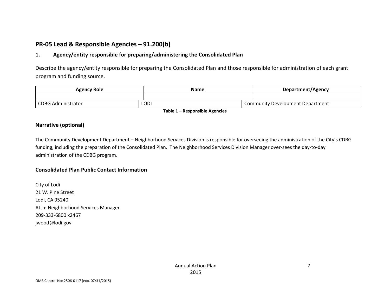# PR-05 Lead & Responsible Agencies – 91.200(b)

#### 1. Agency/entity responsible for preparing/administering the Consolidated Plan

Describe the agency/entity responsible for preparing the Consolidated Plan and those responsible for administration of each grant program and funding source.

| Agency Role               | <b>Name</b> | Department/Agency                |  |
|---------------------------|-------------|----------------------------------|--|
|                           |             |                                  |  |
| <b>CDBG Administrator</b> | LODI        | Community Development Department |  |

Table 1 – Responsible Agencies

#### Narrative (optional)

The Community Development Department – Neighborhood Services Division is responsible for overseeing the administration of the City's CDBG funding, including the preparation of the Consolidated Plan. The Neighborhood Services Division Manager over-sees the day-to-day administration of the CDBG program.

#### Consolidated Plan Public Contact Information

City of Lodi 21 W. Pine Street Lodi, CA 95240 Attn: Neighborhood Services Manager 209-333-6800 x2467 jwood@lodi.gov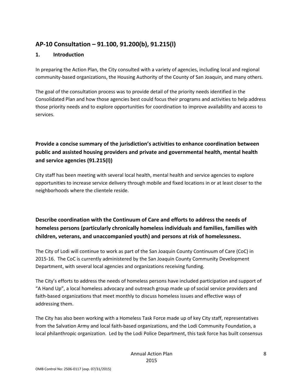# AP-10 Consultation – 91.100, 91.200(b), 91.215(l)

#### 1. Introduction

In preparing the Action Plan, the City consulted with a variety of agencies, including local and regional community-based organizations, the Housing Authority of the County of San Joaquin, and many others.

The goal of the consultation process was to provide detail of the priority needs identified in the Consolidated Plan and how those agencies best could focus their programs and activities to help address those priority needs and to explore opportunities for coordination to improve availability and access to services.

# Provide a concise summary of the jurisdiction's activities to enhance coordination between public and assisted housing providers and private and governmental health, mental health and service agencies (91.215(l))

City staff has been meeting with several local health, mental health and service agencies to explore opportunities to increase service delivery through mobile and fixed locations in or at least closer to the neighborhoods where the clientele reside.

# Describe coordination with the Continuum of Care and efforts to address the needs of homeless persons (particularly chronically homeless individuals and families, families with children, veterans, and unaccompanied youth) and persons at risk of homelessness.

The City of Lodi will continue to work as part of the San Joaquin County Continuum of Care (CoC) in 2015-16. The CoC is currently administered by the San Joaquin County Community Development Department, with several local agencies and organizations receiving funding.

The City's efforts to address the needs of homeless persons have included participation and support of "A Hand Up", a local homeless advocacy and outreach group made up of social service providers and faith-based organizations that meet monthly to discuss homeless issues and effective ways of addressing them.

The City has also been working with a Homeless Task Force made up of key City staff, representatives from the Salvation Army and local faith-based organizations, and the Lodi Community Foundation, a local philanthropic organization. Led by the Lodi Police Department, this task force has built consensus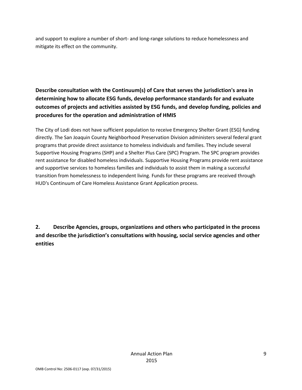and support to explore a number of short- and long-range solutions to reduce homelessness and mitigate its effect on the community.

Describe consultation with the Continuum(s) of Care that serves the jurisdiction's area in determining how to allocate ESG funds, develop performance standards for and evaluate outcomes of projects and activities assisted by ESG funds, and develop funding, policies and procedures for the operation and administration of HMIS

The City of Lodi does not have sufficient population to receive Emergency Shelter Grant (ESG) funding directly. The San Joaquin County Neighborhood Preservation Division administers several federal grant programs that provide direct assistance to homeless individuals and families. They include several Supportive Housing Programs (SHP) and a Shelter Plus Care (SPC) Program. The SPC program provides rent assistance for disabled homeless individuals. Supportive Housing Programs provide rent assistance and supportive services to homeless families and individuals to assist them in making a successful transition from homelessness to independent living. Funds for these programs are received through HUD's Continuum of Care Homeless Assistance Grant Application process.

2. Describe Agencies, groups, organizations and others who participated in the process and describe the jurisdiction's consultations with housing, social service agencies and other entities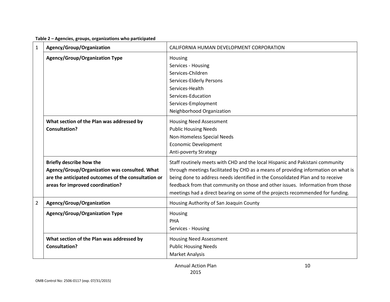|  | Table 2 - Agencies, groups, organizations who participated |  |
|--|------------------------------------------------------------|--|
|--|------------------------------------------------------------|--|

| $\mathbf 1$    | Agency/Group/Organization                           | CALIFORNIA HUMAN DEVELOPMENT CORPORATION                                           |  |  |
|----------------|-----------------------------------------------------|------------------------------------------------------------------------------------|--|--|
|                | <b>Agency/Group/Organization Type</b>               | Housing                                                                            |  |  |
|                |                                                     | Services - Housing                                                                 |  |  |
|                |                                                     | Services-Children                                                                  |  |  |
|                |                                                     | Services-Elderly Persons                                                           |  |  |
|                |                                                     | Services-Health                                                                    |  |  |
|                |                                                     | Services-Education                                                                 |  |  |
|                |                                                     | Services-Employment                                                                |  |  |
|                |                                                     | Neighborhood Organization                                                          |  |  |
|                | What section of the Plan was addressed by           | <b>Housing Need Assessment</b>                                                     |  |  |
|                | <b>Consultation?</b>                                | <b>Public Housing Needs</b>                                                        |  |  |
|                |                                                     | Non-Homeless Special Needs                                                         |  |  |
|                |                                                     | <b>Economic Development</b>                                                        |  |  |
|                |                                                     | <b>Anti-poverty Strategy</b>                                                       |  |  |
|                | <b>Briefly describe how the</b>                     | Staff routinely meets with CHD and the local Hispanic and Pakistani community      |  |  |
|                | Agency/Group/Organization was consulted. What       | through meetings facilitated by CHD as a means of providing information on what is |  |  |
|                | are the anticipated outcomes of the consultation or | being done to address needs identified in the Consolidated Plan and to receive     |  |  |
|                | areas for improved coordination?                    | feedback from that community on those and other issues. Information from those     |  |  |
|                |                                                     | meetings had a direct bearing on some of the projects recommended for funding.     |  |  |
| $\overline{2}$ | Agency/Group/Organization                           | Housing Authority of San Joaquin County                                            |  |  |
|                | <b>Agency/Group/Organization Type</b>               | Housing                                                                            |  |  |
|                |                                                     | PHA                                                                                |  |  |
|                |                                                     | Services - Housing                                                                 |  |  |
|                | What section of the Plan was addressed by           | <b>Housing Need Assessment</b>                                                     |  |  |
|                | <b>Consultation?</b>                                | <b>Public Housing Needs</b>                                                        |  |  |
|                |                                                     | <b>Market Analysis</b>                                                             |  |  |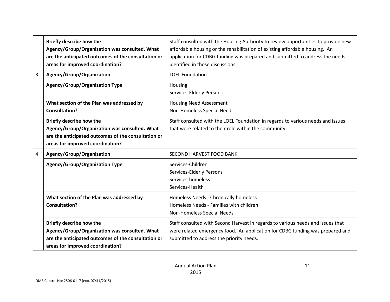|   | <b>Briefly describe how the</b><br>Agency/Group/Organization was consulted. What<br>are the anticipated outcomes of the consultation or<br>areas for improved coordination? | Staff consulted with the Housing Authority to review opportunities to provide new<br>affordable housing or the rehabilitation of existing affordable housing. An<br>application for CDBG funding was prepared and submitted to address the needs<br>identified in those discussions. |
|---|-----------------------------------------------------------------------------------------------------------------------------------------------------------------------------|--------------------------------------------------------------------------------------------------------------------------------------------------------------------------------------------------------------------------------------------------------------------------------------|
| 3 | Agency/Group/Organization                                                                                                                                                   | <b>LOEL Foundation</b>                                                                                                                                                                                                                                                               |
|   | <b>Agency/Group/Organization Type</b>                                                                                                                                       | Housing<br>Services-Elderly Persons                                                                                                                                                                                                                                                  |
|   | What section of the Plan was addressed by<br><b>Consultation?</b>                                                                                                           | <b>Housing Need Assessment</b><br>Non-Homeless Special Needs                                                                                                                                                                                                                         |
|   | <b>Briefly describe how the</b><br>Agency/Group/Organization was consulted. What<br>are the anticipated outcomes of the consultation or<br>areas for improved coordination? | Staff consulted with the LOEL Foundation in regards to various needs and issues<br>that were related to their role within the community.                                                                                                                                             |
| 4 | Agency/Group/Organization                                                                                                                                                   | SECOND HARVEST FOOD BANK                                                                                                                                                                                                                                                             |
|   | <b>Agency/Group/Organization Type</b>                                                                                                                                       | Services-Children<br>Services-Elderly Persons<br>Services-homeless<br>Services-Health                                                                                                                                                                                                |
|   | What section of the Plan was addressed by<br><b>Consultation?</b>                                                                                                           | Homeless Needs - Chronically homeless<br>Homeless Needs - Families with children<br>Non-Homeless Special Needs                                                                                                                                                                       |
|   | <b>Briefly describe how the</b><br>Agency/Group/Organization was consulted. What<br>are the anticipated outcomes of the consultation or<br>areas for improved coordination? | Staff consulted with Second Harvest in regards to various needs and issues that<br>were related emergency food. An application for CDBG funding was prepared and<br>submitted to address the priority needs.                                                                         |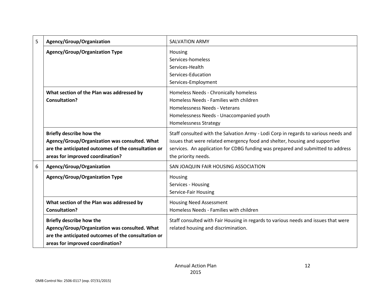| 5 | Agency/Group/Organization                                                                                                                                                   | <b>SALVATION ARMY</b>                                                                                                                                                                                                                                                        |  |  |
|---|-----------------------------------------------------------------------------------------------------------------------------------------------------------------------------|------------------------------------------------------------------------------------------------------------------------------------------------------------------------------------------------------------------------------------------------------------------------------|--|--|
|   | <b>Agency/Group/Organization Type</b>                                                                                                                                       | Housing<br>Services-homeless<br>Services-Health<br>Services-Education<br>Services-Employment                                                                                                                                                                                 |  |  |
|   | What section of the Plan was addressed by<br><b>Consultation?</b>                                                                                                           | Homeless Needs - Chronically homeless<br>Homeless Needs - Families with children<br>Homelessness Needs - Veterans<br>Homelessness Needs - Unaccompanied youth<br><b>Homelessness Strategy</b>                                                                                |  |  |
|   | <b>Briefly describe how the</b><br>Agency/Group/Organization was consulted. What<br>are the anticipated outcomes of the consultation or<br>areas for improved coordination? | Staff consulted with the Salvation Army - Lodi Corp in regards to various needs and<br>issues that were related emergency food and shelter, housing and supportive<br>services. An application for CDBG funding was prepared and submitted to address<br>the priority needs. |  |  |
| 6 | Agency/Group/Organization                                                                                                                                                   | SAN JOAQUIN FAIR HOUSING ASSOCIATION                                                                                                                                                                                                                                         |  |  |
|   | <b>Agency/Group/Organization Type</b>                                                                                                                                       | Housing<br>Services - Housing<br>Service-Fair Housing                                                                                                                                                                                                                        |  |  |
|   | What section of the Plan was addressed by<br><b>Consultation?</b>                                                                                                           | <b>Housing Need Assessment</b><br>Homeless Needs - Families with children                                                                                                                                                                                                    |  |  |
|   | <b>Briefly describe how the</b><br>Agency/Group/Organization was consulted. What<br>are the anticipated outcomes of the consultation or<br>areas for improved coordination? | Staff consulted with Fair Housing in regards to various needs and issues that were<br>related housing and discrimination.                                                                                                                                                    |  |  |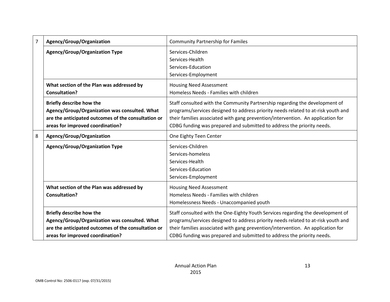| $\overline{7}$ | Agency/Group/Organization                           | <b>Community Partnership for Familes</b>                                          |  |  |  |  |
|----------------|-----------------------------------------------------|-----------------------------------------------------------------------------------|--|--|--|--|
|                | <b>Agency/Group/Organization Type</b>               | Services-Children                                                                 |  |  |  |  |
|                |                                                     | Services-Health                                                                   |  |  |  |  |
|                |                                                     | Services-Education                                                                |  |  |  |  |
|                |                                                     | Services-Employment                                                               |  |  |  |  |
|                | What section of the Plan was addressed by           | <b>Housing Need Assessment</b>                                                    |  |  |  |  |
|                | <b>Consultation?</b>                                | Homeless Needs - Families with children                                           |  |  |  |  |
|                | <b>Briefly describe how the</b>                     | Staff consulted with the Community Partnership regarding the development of       |  |  |  |  |
|                | Agency/Group/Organization was consulted. What       | programs/services designed to address priority needs related to at-risk youth and |  |  |  |  |
|                | are the anticipated outcomes of the consultation or | their families associated with gang prevention/intervention. An application for   |  |  |  |  |
|                | areas for improved coordination?                    | CDBG funding was prepared and submitted to address the priority needs.            |  |  |  |  |
| 8              | Agency/Group/Organization                           | One Eighty Teen Center                                                            |  |  |  |  |
|                | <b>Agency/Group/Organization Type</b>               | Services-Children                                                                 |  |  |  |  |
|                |                                                     | Services-homeless                                                                 |  |  |  |  |
|                |                                                     | Services-Health                                                                   |  |  |  |  |
|                |                                                     | Services-Education                                                                |  |  |  |  |
|                |                                                     | Services-Employment                                                               |  |  |  |  |
|                | What section of the Plan was addressed by           | <b>Housing Need Assessment</b>                                                    |  |  |  |  |
|                | <b>Consultation?</b>                                | Homeless Needs - Families with children                                           |  |  |  |  |
|                |                                                     | Homelessness Needs - Unaccompanied youth                                          |  |  |  |  |
|                | Briefly describe how the                            | Staff consulted with the One-Eighty Youth Services regarding the development of   |  |  |  |  |
|                | Agency/Group/Organization was consulted. What       | programs/services designed to address priority needs related to at-risk youth and |  |  |  |  |
|                | are the anticipated outcomes of the consultation or | their families associated with gang prevention/intervention. An application for   |  |  |  |  |
|                | areas for improved coordination?                    | CDBG funding was prepared and submitted to address the priority needs.            |  |  |  |  |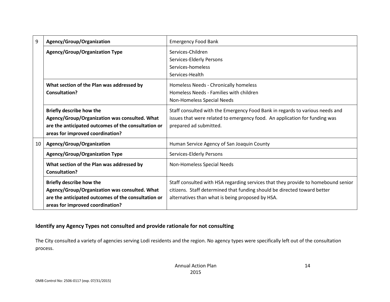| 9  | Agency/Group/Organization                                                                                                                                                   | <b>Emergency Food Bank</b>                                                                                                                                                                                        |
|----|-----------------------------------------------------------------------------------------------------------------------------------------------------------------------------|-------------------------------------------------------------------------------------------------------------------------------------------------------------------------------------------------------------------|
|    | <b>Agency/Group/Organization Type</b>                                                                                                                                       | Services-Children<br>Services-Elderly Persons<br>Services-homeless<br>Services-Health                                                                                                                             |
|    | What section of the Plan was addressed by<br><b>Consultation?</b>                                                                                                           | Homeless Needs - Chronically homeless<br>Homeless Needs - Families with children<br>Non-Homeless Special Needs                                                                                                    |
|    | <b>Briefly describe how the</b><br>Agency/Group/Organization was consulted. What<br>are the anticipated outcomes of the consultation or<br>areas for improved coordination? | Staff consulted with the Emergency Food Bank in regards to various needs and<br>issues that were related to emergency food. An application for funding was<br>prepared ad submitted.                              |
| 10 | Agency/Group/Organization                                                                                                                                                   | Human Service Agency of San Joaquin County                                                                                                                                                                        |
|    | <b>Agency/Group/Organization Type</b>                                                                                                                                       | Services-Elderly Persons                                                                                                                                                                                          |
|    | What section of the Plan was addressed by<br><b>Consultation?</b>                                                                                                           | Non-Homeless Special Needs                                                                                                                                                                                        |
|    | <b>Briefly describe how the</b><br>Agency/Group/Organization was consulted. What<br>are the anticipated outcomes of the consultation or<br>areas for improved coordination? | Staff consulted with HSA regarding services that they provide to homebound senior<br>citizens. Staff determined that funding should be directed toward better<br>alternatives than what is being proposed by HSA. |

#### Identify any Agency Types not consulted and provide rationale for not consulting

The City consulted a variety of agencies serving Lodi residents and the region. No agency types were specifically left out of the consultation process.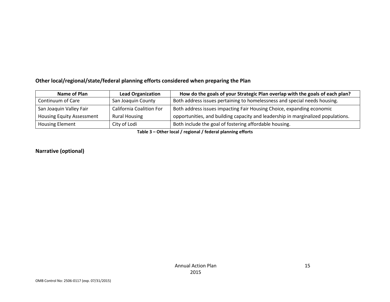#### Other local/regional/state/federal planning efforts considered when preparing the Plan

| Name of Plan                     | <b>Lead Organization</b>        | How do the goals of your Strategic Plan overlap with the goals of each plan?     |
|----------------------------------|---------------------------------|----------------------------------------------------------------------------------|
| Continuum of Care                | San Joaquin County              | Both address issues pertaining to homelessness and special needs housing.        |
| San Joaquin Valley Fair          | <b>California Coalition For</b> | Both address issues impacting Fair Housing Choice, expanding economic            |
| <b>Housing Equity Assessment</b> | <b>Rural Housing</b>            | opportunities, and building capacity and leadership in marginalized populations. |
| <b>Housing Element</b>           | City of Lodi                    | Both include the goal of fostering affordable housing.                           |

Table 3 – Other local / regional / federal planning efforts

#### Narrative (optional)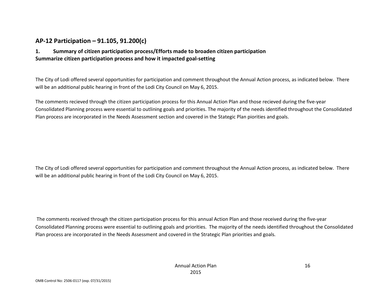# AP-12 Participation – 91.105, 91.200(c)

#### 1. Summary of citizen participation process/Efforts made to broaden citizen participation Summarize citizen participation process and how it impacted goal-setting

The City of Lodi offered several opportunities for participation and comment throughout the Annual Action process, as indicated below. There will be an additional public hearing in front of the Lodi City Council on May 6, 2015.

The comments recieved through the citizen participation process for this Annual Action Plan and those recieved during the five-year Consolidated Planning process were essential to outlining goals and priorities. The majority of the needs identified throughout the Consolidated Plan process are incorporated in the Needs Assessment section and covered in the Stategic Plan piorities and goals.

The City of Lodi offered several opportunities for participation and comment throughout the Annual Action process, as indicated below. There will be an additional public hearing in front of the Lodi City Council on May 6, 2015.

 The comments received through the citizen participation process for this annual Action Plan and those received during the five-year Consolidated Planning process were essential to outlining goals and priorities. The majority of the needs identified throughout the Consolidated Plan process are incorporated in the Needs Assessment and covered in the Strategic Plan priorities and goals.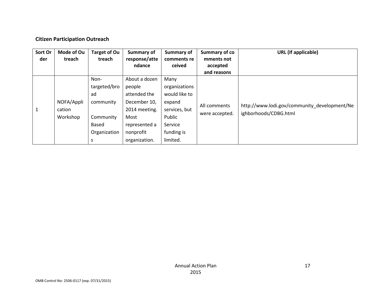#### Citizen Participation Outreach

| Sort Or<br>der | Mode of Ou<br>treach             | <b>Target of Ou</b><br>treach                                                             | <b>Summary of</b><br>response/atte<br>ndance                                                                                    | <b>Summary of</b><br>comments re<br>ceived                                                                       | Summary of co<br>mments not<br>accepted<br>and reasons | <b>URL</b> (If applicable)                                            |
|----------------|----------------------------------|-------------------------------------------------------------------------------------------|---------------------------------------------------------------------------------------------------------------------------------|------------------------------------------------------------------------------------------------------------------|--------------------------------------------------------|-----------------------------------------------------------------------|
| $\mathbf{1}$   | NOFA/Appli<br>cation<br>Workshop | Non-<br>targeted/bro<br>ad<br>community<br>Community<br><b>Based</b><br>Organization<br>S | About a dozen<br>people<br>attended the<br>December 10,<br>2014 meeting.<br>Most<br>represented a<br>nonprofit<br>organization. | Many<br>organizations<br>would like to<br>expand<br>services, but<br>Public<br>Service<br>funding is<br>limited. | All comments<br>were accepted.                         | http://www.lodi.gov/community_development/Ne<br>ighborhoods/CDBG.html |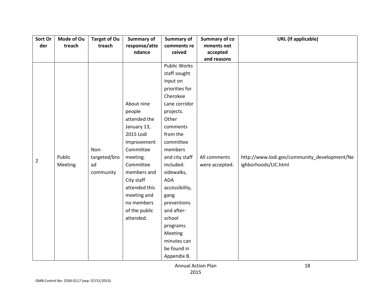| Sort Or        | Mode of Ou | <b>Target of Ou</b> | Summary of    | Summary of          | <b>Summary of co</b> | <b>URL</b> (If applicable)                   |
|----------------|------------|---------------------|---------------|---------------------|----------------------|----------------------------------------------|
| der            | treach     | treach              | response/atte | comments re         | mments not           |                                              |
|                |            |                     | ndance        | ceived              | accepted             |                                              |
|                |            |                     |               |                     | and reasons          |                                              |
|                |            |                     |               | <b>Public Works</b> |                      |                                              |
|                |            |                     |               | staff sought        |                      |                                              |
|                |            |                     |               | input on            |                      |                                              |
|                |            |                     |               | priorities for      |                      |                                              |
|                |            |                     |               | Cherokee            |                      |                                              |
|                |            |                     | About nine    | Lane corridor       |                      |                                              |
|                |            |                     | people        | projects.           |                      |                                              |
|                |            |                     | attended the  | Other               |                      |                                              |
|                |            |                     | January 13,   | comments            |                      |                                              |
|                |            |                     | 2015 Lodi     | from the            |                      |                                              |
|                |            |                     | Improvement   | committee           |                      |                                              |
|                |            | Non-                | Committee     | members             |                      |                                              |
| $\overline{2}$ | Public     | targeted/bro        | meeting.      | and city staff      | All comments         | http://www.lodi.gov/community_development/Ne |
|                | Meeting    | ad                  | Committee     | included:           | were accepted.       | ighborhoods/LIC.html                         |
|                |            | community           | members and   | sidewalks,          |                      |                                              |
|                |            |                     | City staff    | <b>ADA</b>          |                      |                                              |
|                |            |                     | attended this | accessibility,      |                      |                                              |
|                |            |                     | meeting and   | gang                |                      |                                              |
|                |            |                     | no members    | preventions         |                      |                                              |
|                |            |                     | of the public | and after-          |                      |                                              |
|                |            |                     | attended.     | school              |                      |                                              |
|                |            |                     |               | programs.           |                      |                                              |
|                |            |                     |               | Meeting             |                      |                                              |
|                |            |                     |               | minutes can         |                      |                                              |
|                |            |                     |               | be found in         |                      |                                              |
|                |            |                     |               | Appendix B.         |                      |                                              |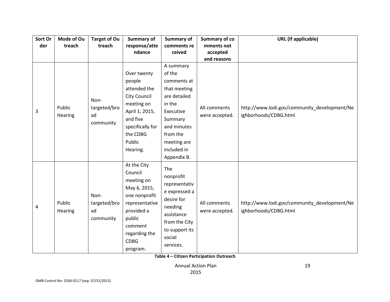| Sort Or | Mode of Ou        | <b>Target of Ou</b>                     | <b>Summary of</b>                                                                                                                                                      | Summary of                                                                                                                                                         | <b>Summary of co</b>                          | <b>URL</b> (If applicable)                                            |
|---------|-------------------|-----------------------------------------|------------------------------------------------------------------------------------------------------------------------------------------------------------------------|--------------------------------------------------------------------------------------------------------------------------------------------------------------------|-----------------------------------------------|-----------------------------------------------------------------------|
| der     | treach            | treach                                  | response/atte                                                                                                                                                          | comments re                                                                                                                                                        | mments not                                    |                                                                       |
|         |                   |                                         | ndance                                                                                                                                                                 | ceived                                                                                                                                                             | accepted                                      |                                                                       |
| 3       | Public<br>Hearing | Non-<br>targeted/bro<br>ad<br>community | Over twenty<br>people<br>attended the<br><b>City Council</b><br>meeting on<br>April 1, 2015,<br>and five<br>specifically for<br>the CDBG<br>Public<br>Hearing.         | A summary<br>of the<br>comments at<br>that meeting<br>are detailed<br>in the<br>Executive<br>Summary<br>and minutes<br>from the<br>meeting are<br>included in      | and reasons<br>All comments<br>were accepted. | http://www.lodi.gov/community_development/Ne<br>ighborhoods/CDBG.html |
| 4       | Public<br>Hearing | Non-<br>targeted/bro<br>ad<br>community | At the City<br>Council<br>meeting on<br>May 6, 2015,<br>one nonprofit<br>representative<br>provided a<br>public<br>comment<br>regarding the<br><b>CDBG</b><br>program. | Appendix B.<br>The<br>nonprofit<br>representativ<br>e expressed a<br>desire for<br>needing<br>assistance<br>from the City<br>to support its<br>social<br>services. | All comments<br>were accepted.                | http://www.lodi.gov/community_development/Ne<br>ighborhoods/CDBG.html |

Table 4 – Citizen Participation Outreach

Annual Action Plan2015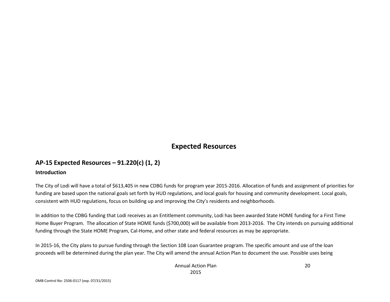# Expected Resources

# AP-15 Expected Resources – 91.220(c) (1, 2)

#### Introduction

The City of Lodi will have a total of \$613,405 in new CDBG funds for program year 2015-2016. Allocation of funds and assignment of priorities for funding are based upon the national goals set forth by HUD regulations, and local goals for housing and community development. Local goals, consistent with HUD regulations, focus on building up and improving the City's residents and neighborhoods.

In addition to the CDBG funding that Lodi receives as an Entitlement community, Lodi has been awarded State HOME funding for a First Time Home Buyer Program. The allocation of State HOME funds (\$700,000) will be available from 2013-2016. The City intends on pursuing additional funding through the State HOME Program, Cal-Home, and other state and federal resources as may be appropriate.

In 2015-16, the City plans to pursue funding through the Section 108 Loan Guarantee program. The specific amount and use of the loan proceeds will be determined during the plan year. The City will amend the annual Action Plan to document the use. Possible uses being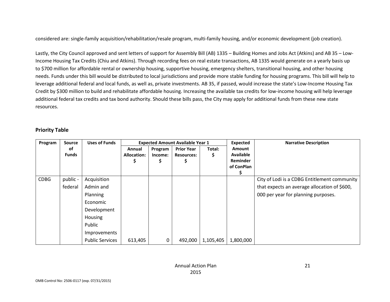considered are: single-family acquisition/rehabilitation/resale program, multi-family housing, and/or economic development (job creation).

Lastly, the City Council approved and sent letters of support for Assembly Bill (AB) 1335 – Building Homes and Jobs Act (Atkins) and AB 35 – Low-Income Housing Tax Credits (Chiu and Atkins). Through recording fees on real estate transactions, AB 1335 would generate on a yearly basis up to \$700 million for affordable rental or ownership housing, supportive housing, emergency shelters, transitional housing, and other housing needs. Funds under this bill would be distributed to local jurisdictions and provide more stable funding for housing programs. This bill will help to leverage additional federal and local funds, as well as, private investments. AB 35, if passed, would increase the state's Low-Income Housing Tax Credit by \$300 million to build and rehabilitate affordable housing. Increasing the available tax credits for low-income housing will help leverage additional federal tax credits and tax bond authority. Should these bills pass, the City may apply for additional funds from these new state resources.

#### Priority Table

| Program     | <b>Source</b> | <b>Uses of Funds</b>   |                    |         | <b>Expected Amount Available Year 1</b> |           | <b>Expected</b>  | <b>Narrative Description</b>                 |
|-------------|---------------|------------------------|--------------------|---------|-----------------------------------------|-----------|------------------|----------------------------------------------|
|             | οf            |                        | Annual             | Program | <b>Prior Year</b>                       | Total:    | <b>Amount</b>    |                                              |
|             | <b>Funds</b>  |                        | <b>Allocation:</b> | Income: | <b>Resources:</b>                       | Ş         | <b>Available</b> |                                              |
|             |               |                        |                    |         | S                                       |           | <b>Reminder</b>  |                                              |
|             |               |                        |                    |         |                                         |           | of ConPlan       |                                              |
| <b>CDBG</b> | public -      | Acquisition            |                    |         |                                         |           |                  | City of Lodi is a CDBG Entitlement community |
|             | federal       | Admin and              |                    |         |                                         |           |                  | that expects an average allocation of \$600, |
|             |               |                        |                    |         |                                         |           |                  |                                              |
|             |               | Planning               |                    |         |                                         |           |                  | 000 per year for planning purposes.          |
|             |               | Economic               |                    |         |                                         |           |                  |                                              |
|             |               | Development            |                    |         |                                         |           |                  |                                              |
|             |               | Housing                |                    |         |                                         |           |                  |                                              |
|             |               | Public                 |                    |         |                                         |           |                  |                                              |
|             |               | Improvements           |                    |         |                                         |           |                  |                                              |
|             |               | <b>Public Services</b> | 613,405            | 0       | 492,000                                 | 1,105,405 | 1,800,000        |                                              |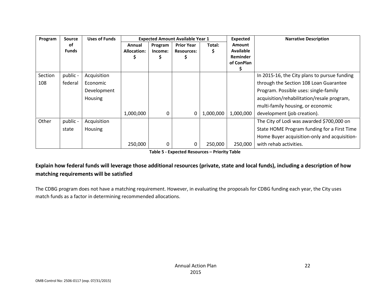| Program | Source       | <b>Uses of Funds</b> | <b>Expected Amount Available Year 1</b> |         |                   |           | Expected         | <b>Narrative Description</b>                 |
|---------|--------------|----------------------|-----------------------------------------|---------|-------------------|-----------|------------------|----------------------------------------------|
|         | οf           |                      | Annual                                  | Program | <b>Prior Year</b> | Total:    | Amount           |                                              |
|         | <b>Funds</b> |                      | <b>Allocation:</b>                      | Income: | <b>Resources:</b> | S         | <b>Available</b> |                                              |
|         |              |                      |                                         |         |                   |           | Reminder         |                                              |
|         |              |                      |                                         |         |                   |           | of ConPlan       |                                              |
|         |              |                      |                                         |         |                   |           |                  |                                              |
| Section | public -     | Acquisition          |                                         |         |                   |           |                  | In 2015-16, the City plans to pursue funding |
| 108     | federal      | Economic             |                                         |         |                   |           |                  | through the Section 108 Loan Guarantee       |
|         |              | Development          |                                         |         |                   |           |                  | Program. Possible uses: single-family        |
|         |              | Housing              |                                         |         |                   |           |                  | acquisition/rehabilitation/resale program,   |
|         |              |                      |                                         |         |                   |           |                  | multi-family housing, or economic            |
|         |              |                      | 1,000,000                               | 0       | 0                 | 1,000,000 | 1,000,000        | development (job creation).                  |
| Other   | public -     | Acquisition          |                                         |         |                   |           |                  | The City of Lodi was awarded \$700,000 on    |
|         | state        | <b>Housing</b>       |                                         |         |                   |           |                  | State HOME Program funding for a First Time  |
|         |              |                      |                                         |         |                   |           |                  | Home Buyer acquisition-only and acquisition- |
|         |              |                      | 250,000                                 | 0       | 0                 | 250,000   | 250,000          | with rehab activities.                       |

Table 5 - Expected Resources – Priority Table

# Explain how federal funds will leverage those additional resources (private, state and local funds), including a description of how matching requirements will be satisfied

The CDBG program does not have a matching requirement. However, in evaluating the proposals for CDBG funding each year, the City uses match funds as a factor in determining recommended allocations.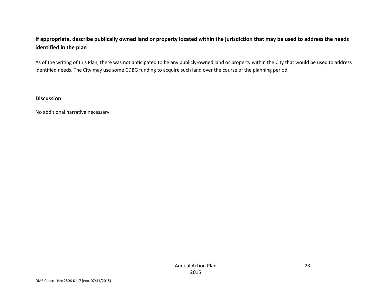### If appropriate, describe publically owned land or property located within the jurisdiction that may be used to address the needs identified in the plan

As of the writing of this Plan, there was not anticipated to be any publicly-owned land or property within the City that would be used to address identified needs. The City may use some CDBG funding to acquire such land over the course of the planning period.

#### Discussion

No additional narrative necessary.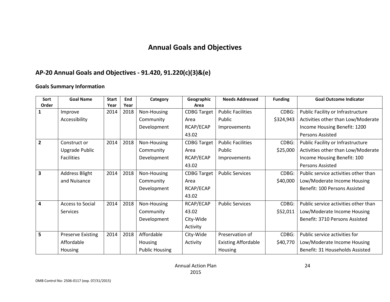# Annual Goals and Objectives

# AP-20 Annual Goals and Objectives - 91.420, 91.220(c)(3)&(e)

#### Goals Summary Information

| Sort                    | <b>Goal Name</b>         | <b>Start</b> | End  | Category              | Geographic         | <b>Needs Addressed</b>     | <b>Funding</b> | <b>Goal Outcome Indicator</b>        |
|-------------------------|--------------------------|--------------|------|-----------------------|--------------------|----------------------------|----------------|--------------------------------------|
| Order                   |                          | Year         | Year |                       | Area               |                            |                |                                      |
|                         | Improve                  | 2014         | 2018 | Non-Housing           | <b>CDBG Target</b> | <b>Public Facilities</b>   | CDBG:          | Public Facility or Infrastructure    |
|                         | Accessibility            |              |      | Community             | Area               | Public                     | \$324,943      | Activities other than Low/Moderate   |
|                         |                          |              |      | Development           | RCAP/ECAP          | Improvements               |                | Income Housing Benefit: 1200         |
|                         |                          |              |      |                       | 43.02              |                            |                | <b>Persons Assisted</b>              |
| $\overline{2}$          | Construct or             | 2014         | 2018 | Non-Housing           | <b>CDBG Target</b> | <b>Public Facilities</b>   | CDBG:          | Public Facility or Infrastructure    |
|                         | Upgrade Public           |              |      | Community             | Area               | Public                     | \$25,000       | Activities other than Low/Moderate   |
|                         | <b>Facilities</b>        |              |      | Development           | RCAP/ECAP          | Improvements               |                | Income Housing Benefit: 100          |
|                         |                          |              |      |                       | 43.02              |                            |                | Persons Assisted                     |
| $\overline{\mathbf{3}}$ | <b>Address Blight</b>    | 2014         | 2018 | Non-Housing           | <b>CDBG Target</b> | <b>Public Services</b>     | CDBG:          | Public service activities other than |
|                         | and Nuisance             |              |      | Community             | Area               |                            | \$40,000       | Low/Moderate Income Housing          |
|                         |                          |              |      | Development           | RCAP/ECAP          |                            |                | Benefit: 100 Persons Assisted        |
|                         |                          |              |      |                       | 43.02              |                            |                |                                      |
| 4                       | <b>Access to Social</b>  | 2014         | 2018 | Non-Housing           | RCAP/ECAP          | <b>Public Services</b>     | CDBG:          | Public service activities other than |
|                         | <b>Services</b>          |              |      | Community             | 43.02              |                            | \$52,011       | Low/Moderate Income Housing          |
|                         |                          |              |      | Development           | City-Wide          |                            |                | Benefit: 3710 Persons Assisted       |
|                         |                          |              |      |                       | Activity           |                            |                |                                      |
| 5                       | <b>Preserve Existing</b> | 2014         | 2018 | Affordable            | City-Wide          | Preservation of            | CDBG:          | Public service activities for        |
|                         | Affordable               |              |      | Housing               | Activity           | <b>Existing Affordable</b> | \$40,770       | Low/Moderate Income Housing          |
|                         | <b>Housing</b>           |              |      | <b>Public Housing</b> |                    | <b>Housing</b>             |                | Benefit: 31 Households Assisted      |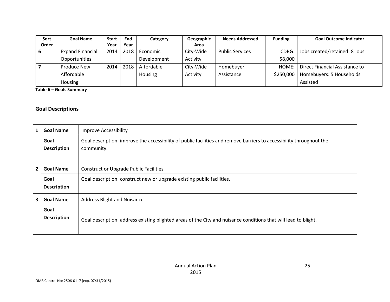| Sort  | <b>Goal Name</b>        | <b>Start</b> | End    | Category    | Geographic | <b>Needs Addressed</b> | <b>Funding</b> | <b>Goal Outcome Indicator</b>  |
|-------|-------------------------|--------------|--------|-------------|------------|------------------------|----------------|--------------------------------|
| Order |                         | Year         | Year   |             | Area       |                        |                |                                |
|       | <b>Expand Financial</b> | 2014         | 2018 l | Economic    | City-Wide  | <b>Public Services</b> | $CDBG$ :       | Jobs created/retained: 8 Jobs  |
|       | Opportunities           |              |        | Development | Activity   |                        | \$8,000        |                                |
|       | Produce New             | 2014         | 2018   | Affordable  | City-Wide  | Homebuyer              | HOME:          | Direct Financial Assistance to |
|       | Affordable              |              |        | Housing     | Activity   | Assistance             | \$250,000      | Homebuyers: 5 Households       |
|       | Housing                 |              |        |             |            |                        |                | Assisted                       |

Table 6 – Goals Summary

#### Goal Descriptions

| 1              | <b>Goal Name</b>           | <b>Improve Accessibility</b>                                                                                                       |
|----------------|----------------------------|------------------------------------------------------------------------------------------------------------------------------------|
|                | Goal<br><b>Description</b> | Goal description: improve the accessibility of public facilities and remove barriers to accessibility throughout the<br>community. |
| $\overline{2}$ | <b>Goal Name</b>           | <b>Construct or Upgrade Public Facilities</b>                                                                                      |
|                | Goal<br><b>Description</b> | Goal description: construct new or upgrade existing public facilities.                                                             |
| 3              | <b>Goal Name</b>           | <b>Address Blight and Nuisance</b>                                                                                                 |
|                | Goal<br><b>Description</b> | Goal description: address existing blighted areas of the City and nuisance conditions that will lead to blight.                    |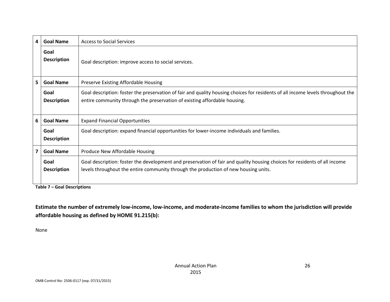| 4  | <b>Goal Name</b>           | <b>Access to Social Services</b>                                                                                                                                                                                 |
|----|----------------------------|------------------------------------------------------------------------------------------------------------------------------------------------------------------------------------------------------------------|
|    | Goal<br><b>Description</b> | Goal description: improve access to social services.                                                                                                                                                             |
| 5. | <b>Goal Name</b>           | Preserve Existing Affordable Housing                                                                                                                                                                             |
|    | Goal<br><b>Description</b> | Goal description: foster the preservation of fair and quality housing choices for residents of all income levels throughout the<br>entire community through the preservation of existing affordable housing.     |
| 6  | <b>Goal Name</b>           | <b>Expand Financial Opportunities</b>                                                                                                                                                                            |
|    | Goal<br><b>Description</b> | Goal description: expand financial opportunities for lower-income individuals and families.                                                                                                                      |
| 7  | <b>Goal Name</b>           | Produce New Affordable Housing                                                                                                                                                                                   |
|    | Goal<br><b>Description</b> | Goal description: foster the development and preservation of fair and quality housing choices for residents of all income<br>levels throughout the entire community through the production of new housing units. |

Table 7 – Goal Descriptions

Estimate the number of extremely low-income, low-income, and moderate-income families to whom the jurisdiction will provide affordable housing as defined by HOME 91.215(b):

None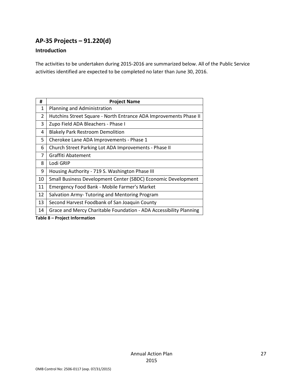# AP-35 Projects – 91.220(d)

#### Introduction

The activities to be undertaken during 2015-2016 are summarized below. All of the Public Service activities identified are expected to be completed no later than June 30, 2016.

| #              | <b>Project Name</b>                                                |
|----------------|--------------------------------------------------------------------|
| $\mathbf{1}$   | Planning and Administration                                        |
| $\overline{2}$ | Hutchins Street Square - North Entrance ADA Improvements Phase II  |
| 3              | Zupo Field ADA Bleachers - Phase I                                 |
| 4              | <b>Blakely Park Restroom Demolition</b>                            |
| 5              | Cherokee Lane ADA Improvements - Phase 1                           |
| 6              | Church Street Parking Lot ADA Improvements - Phase II              |
| 7              | Graffiti Abatement                                                 |
| 8              | Lodi GRIP                                                          |
| 9              | Housing Authority - 719 S. Washington Phase III                    |
| 10             | Small Business Development Center (SBDC) Economic Development      |
| 11             | Emergency Food Bank - Mobile Farmer's Market                       |
| 12             | Salvation Army- Tutoring and Mentoring Program                     |
| 13             | Second Harvest Foodbank of San Joaquin County                      |
| 14             | Grace and Mercy Charitable Foundation - ADA Accessibility Planning |

Table 8 – Project Information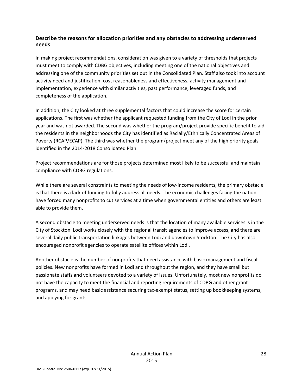#### Describe the reasons for allocation priorities and any obstacles to addressing underserved needs

In making project recommendations, consideration was given to a variety of thresholds that projects must meet to comply with CDBG objectives, including meeting one of the national objectives and addressing one of the community priorities set out in the Consolidated Plan. Staff also took into account activity need and justification, cost reasonableness and effectiveness, activity management and implementation, experience with similar activities, past performance, leveraged funds, and completeness of the application.

In addition, the City looked at three supplemental factors that could increase the score for certain applications. The first was whether the applicant requested funding from the City of Lodi in the prior year and was not awarded. The second was whether the program/project provide specific benefit to aid the residents in the neighborhoods the City has identified as Racially/Ethnically Concentrated Areas of Poverty (RCAP/ECAP). The third was whether the program/project meet any of the high priority goals identified in the 2014-2018 Consolidated Plan.

Project recommendations are for those projects determined most likely to be successful and maintain compliance with CDBG regulations.

While there are several constraints to meeting the needs of low-income residents, the primary obstacle is that there is a lack of funding to fully address all needs. The economic challenges facing the nation have forced many nonprofits to cut services at a time when governmental entities and others are least able to provide them.

A second obstacle to meeting underserved needs is that the location of many available services is in the City of Stockton. Lodi works closely with the regional transit agencies to improve access, and there are several daily public transportation linkages between Lodi and downtown Stockton. The City has also encouraged nonprofit agencies to operate satellite offices within Lodi.

Another obstacle is the number of nonprofits that need assistance with basic management and fiscal policies. New nonprofits have formed in Lodi and throughout the region, and they have small but passionate staffs and volunteers devoted to a variety of issues. Unfortunately, most new nonprofits do not have the capacity to meet the financial and reporting requirements of CDBG and other grant programs, and may need basic assistance securing tax-exempt status, setting up bookkeeping systems, and applying for grants.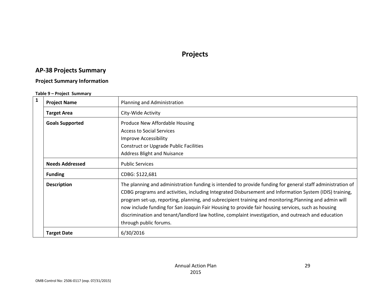# Projects

# AP-38 Projects Summary

#### Project Summary Information

#### Table 9 – Project Summary

| $\mathbf{1}$ | <b>Project Name</b>    | Planning and Administration                                                                                                                                                                                                                                                                                                                                                                                                                                                                                                                                           |
|--------------|------------------------|-----------------------------------------------------------------------------------------------------------------------------------------------------------------------------------------------------------------------------------------------------------------------------------------------------------------------------------------------------------------------------------------------------------------------------------------------------------------------------------------------------------------------------------------------------------------------|
|              | <b>Target Area</b>     | City-Wide Activity                                                                                                                                                                                                                                                                                                                                                                                                                                                                                                                                                    |
|              | <b>Goals Supported</b> | Produce New Affordable Housing<br><b>Access to Social Services</b><br><b>Improve Accessibility</b><br><b>Construct or Upgrade Public Facilities</b><br><b>Address Blight and Nuisance</b>                                                                                                                                                                                                                                                                                                                                                                             |
|              | <b>Needs Addressed</b> | <b>Public Services</b>                                                                                                                                                                                                                                                                                                                                                                                                                                                                                                                                                |
|              | <b>Funding</b>         | CDBG: \$122,681                                                                                                                                                                                                                                                                                                                                                                                                                                                                                                                                                       |
|              | <b>Description</b>     | The planning and administration funding is intended to provide funding for general staff administration of<br>CDBG programs and activities, including Integrated Disbursement and Information System (IDIS) training,<br>program set-up, reporting, planning, and subrecipient training and monitoring.Planning and admin will<br>now include funding for San Joaquin Fair Housing to provide fair housing services, such as housing<br>discrimination and tenant/landlord law hotline, complaint investigation, and outreach and education<br>through public forums. |
|              | <b>Target Date</b>     | 6/30/2016                                                                                                                                                                                                                                                                                                                                                                                                                                                                                                                                                             |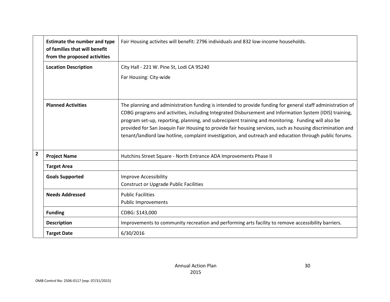|                | <b>Estimate the number and type</b><br>of families that will benefit<br>from the proposed activities | Fair Housing activites will benefit: 2796 individuals and 832 low-income households.                                                                                                                                                                                                                                                                                                                                                                                                                                                                  |
|----------------|------------------------------------------------------------------------------------------------------|-------------------------------------------------------------------------------------------------------------------------------------------------------------------------------------------------------------------------------------------------------------------------------------------------------------------------------------------------------------------------------------------------------------------------------------------------------------------------------------------------------------------------------------------------------|
|                | <b>Location Description</b>                                                                          | City Hall - 221 W. Pine St, Lodi CA 95240                                                                                                                                                                                                                                                                                                                                                                                                                                                                                                             |
|                |                                                                                                      | Far Housing: City-wide                                                                                                                                                                                                                                                                                                                                                                                                                                                                                                                                |
|                |                                                                                                      |                                                                                                                                                                                                                                                                                                                                                                                                                                                                                                                                                       |
|                | <b>Planned Activities</b>                                                                            | The planning and administration funding is intended to provide funding for general staff administration of<br>CDBG programs and activities, including Integrated Disbursement and Information System (IDIS) training,<br>program set-up, reporting, planning, and subrecipient training and monitoring. Funding will also be<br>provided for San Joaquin Fair Housing to provide fair housing services, such as housing discrimination and<br>tenant/landlord law hotline, complaint investigation, and outreach and education through public forums. |
| $\overline{2}$ | <b>Project Name</b>                                                                                  | Hutchins Street Square - North Entrance ADA Improvements Phase II                                                                                                                                                                                                                                                                                                                                                                                                                                                                                     |
|                | <b>Target Area</b>                                                                                   |                                                                                                                                                                                                                                                                                                                                                                                                                                                                                                                                                       |
|                | <b>Goals Supported</b>                                                                               | <b>Improve Accessibility</b>                                                                                                                                                                                                                                                                                                                                                                                                                                                                                                                          |
|                |                                                                                                      | <b>Construct or Upgrade Public Facilities</b>                                                                                                                                                                                                                                                                                                                                                                                                                                                                                                         |
|                | <b>Needs Addressed</b>                                                                               | <b>Public Facilities</b>                                                                                                                                                                                                                                                                                                                                                                                                                                                                                                                              |
|                |                                                                                                      | <b>Public Improvements</b>                                                                                                                                                                                                                                                                                                                                                                                                                                                                                                                            |
|                | <b>Funding</b>                                                                                       | CDBG: \$143,000                                                                                                                                                                                                                                                                                                                                                                                                                                                                                                                                       |
|                | <b>Description</b>                                                                                   | Improvements to community recreation and performing arts facility to remove accessibility barriers.                                                                                                                                                                                                                                                                                                                                                                                                                                                   |
|                | <b>Target Date</b>                                                                                   | 6/30/2016                                                                                                                                                                                                                                                                                                                                                                                                                                                                                                                                             |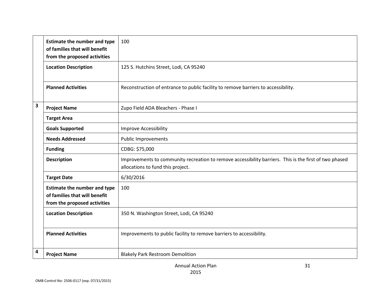|   | <b>Estimate the number and type</b><br>of families that will benefit<br>from the proposed activities | 100                                                                                                                                         |
|---|------------------------------------------------------------------------------------------------------|---------------------------------------------------------------------------------------------------------------------------------------------|
|   | <b>Location Description</b>                                                                          | 125 S. Hutchins Street, Lodi, CA 95240                                                                                                      |
|   | <b>Planned Activities</b>                                                                            | Reconstruction of entrance to public facility to remove barriers to accessibility.                                                          |
| 3 | <b>Project Name</b>                                                                                  | Zupo Field ADA Bleachers - Phase I                                                                                                          |
|   | <b>Target Area</b>                                                                                   |                                                                                                                                             |
|   | <b>Goals Supported</b>                                                                               | <b>Improve Accessibility</b>                                                                                                                |
|   | <b>Needs Addressed</b>                                                                               | <b>Public Improvements</b>                                                                                                                  |
|   | <b>Funding</b>                                                                                       | CDBG: \$75,000                                                                                                                              |
|   | <b>Description</b>                                                                                   | Improvements to community recreation to remove accessibility barriers. This is the first of two phased<br>allocations to fund this project. |
|   | <b>Target Date</b>                                                                                   | 6/30/2016                                                                                                                                   |
|   | <b>Estimate the number and type</b><br>of families that will benefit<br>from the proposed activities | 100                                                                                                                                         |
|   | <b>Location Description</b>                                                                          | 350 N. Washington Street, Lodi, CA 95240                                                                                                    |
|   | <b>Planned Activities</b>                                                                            | Improvements to public facility to remove barriers to accessibility.                                                                        |
| 4 | <b>Project Name</b>                                                                                  | <b>Blakely Park Restroom Demolition</b>                                                                                                     |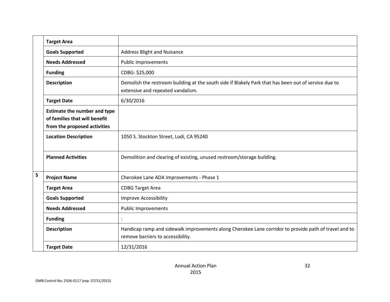|   | <b>Target Area</b>                                                                                   |                                                                                                                                            |
|---|------------------------------------------------------------------------------------------------------|--------------------------------------------------------------------------------------------------------------------------------------------|
|   | <b>Goals Supported</b>                                                                               | Address Blight and Nuisance                                                                                                                |
|   | <b>Needs Addressed</b>                                                                               | <b>Public Improvements</b>                                                                                                                 |
|   | <b>Funding</b>                                                                                       | CDBG: \$25,000                                                                                                                             |
|   | <b>Description</b>                                                                                   | Demolish the restroom building at the south side if Blakely Park that has been out of service due to<br>extensive and repeated vandalism.  |
|   | <b>Target Date</b>                                                                                   | 6/30/2016                                                                                                                                  |
|   | <b>Estimate the number and type</b><br>of families that will benefit<br>from the proposed activities |                                                                                                                                            |
|   | <b>Location Description</b>                                                                          | 1050 S. Stockton Street, Lodi, CA 95240                                                                                                    |
|   | <b>Planned Activities</b>                                                                            | Demolition and clearing of existing, unused restroom/storage building.                                                                     |
| 5 | <b>Project Name</b>                                                                                  | Cherokee Lane ADA Improvements - Phase 1                                                                                                   |
|   | <b>Target Area</b>                                                                                   | <b>CDBG Target Area</b>                                                                                                                    |
|   | <b>Goals Supported</b>                                                                               | <b>Improve Accessibility</b>                                                                                                               |
|   | <b>Needs Addressed</b>                                                                               | <b>Public Improvements</b>                                                                                                                 |
|   | <b>Funding</b>                                                                                       |                                                                                                                                            |
|   | <b>Description</b>                                                                                   | Handicap ramp and sidewalk improvements along Cherokee Lane corridor to provide path of travel and to<br>remove barriers to accessibility. |
|   | <b>Target Date</b>                                                                                   | 12/31/2016                                                                                                                                 |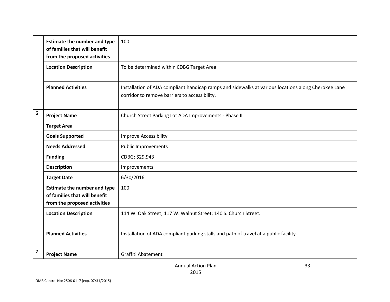|                         | <b>Estimate the number and type</b><br>of families that will benefit<br>from the proposed activities | 100                                                                                                                                                  |
|-------------------------|------------------------------------------------------------------------------------------------------|------------------------------------------------------------------------------------------------------------------------------------------------------|
|                         | <b>Location Description</b>                                                                          | To be determined within CDBG Target Area                                                                                                             |
|                         | <b>Planned Activities</b>                                                                            | Installation of ADA compliant handicap ramps and sidewalks at various locations along Cherokee Lane<br>corridor to remove barriers to accessibility. |
| 6                       | <b>Project Name</b>                                                                                  | Church Street Parking Lot ADA Improvements - Phase II                                                                                                |
|                         | <b>Target Area</b>                                                                                   |                                                                                                                                                      |
|                         | <b>Goals Supported</b>                                                                               | Improve Accessibility                                                                                                                                |
|                         | <b>Needs Addressed</b>                                                                               | <b>Public Improvements</b>                                                                                                                           |
|                         | <b>Funding</b>                                                                                       | CDBG: \$29,943                                                                                                                                       |
|                         | <b>Description</b>                                                                                   | Improvements                                                                                                                                         |
|                         | <b>Target Date</b>                                                                                   | 6/30/2016                                                                                                                                            |
|                         | <b>Estimate the number and type</b><br>of families that will benefit<br>from the proposed activities | 100                                                                                                                                                  |
|                         | <b>Location Description</b>                                                                          | 114 W. Oak Street; 117 W. Walnut Street; 140 S. Church Street.                                                                                       |
|                         | <b>Planned Activities</b>                                                                            | Installation of ADA compliant parking stalls and path of travel at a public facility.                                                                |
| $\overline{\mathbf{z}}$ | <b>Project Name</b>                                                                                  | <b>Graffiti Abatement</b>                                                                                                                            |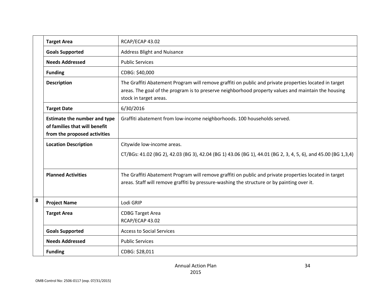|   | <b>Target Area</b>                                                                                   | RCAP/ECAP 43.02                                                                                                                                                                                                                         |
|---|------------------------------------------------------------------------------------------------------|-----------------------------------------------------------------------------------------------------------------------------------------------------------------------------------------------------------------------------------------|
|   | <b>Goals Supported</b>                                                                               | <b>Address Blight and Nuisance</b>                                                                                                                                                                                                      |
|   | <b>Needs Addressed</b>                                                                               | <b>Public Services</b>                                                                                                                                                                                                                  |
|   | <b>Funding</b>                                                                                       | CDBG: \$40,000                                                                                                                                                                                                                          |
|   | <b>Description</b>                                                                                   | The Graffiti Abatement Program will remove graffiti on public and private properties located in target<br>areas. The goal of the program is to preserve neighborhood property values and maintain the housing<br>stock in target areas. |
|   | <b>Target Date</b>                                                                                   | 6/30/2016                                                                                                                                                                                                                               |
|   | <b>Estimate the number and type</b><br>of families that will benefit<br>from the proposed activities | Graffiti abatement from low-income neighborhoods. 100 households served.                                                                                                                                                                |
|   | <b>Location Description</b>                                                                          | Citywide low-income areas.                                                                                                                                                                                                              |
|   |                                                                                                      | CT/BGs: 41.02 (BG 2), 42.03 (BG 3), 42.04 (BG 1) 43.06 (BG 1), 44.01 (BG 2, 3, 4, 5, 6), and 45.00 (BG 1,3,4)                                                                                                                           |
|   | <b>Planned Activities</b>                                                                            | The Graffiti Abatement Program will remove graffiti on public and private properties located in target<br>areas. Staff will remove graffiti by pressure-washing the structure or by painting over it.                                   |
| 8 | <b>Project Name</b>                                                                                  | Lodi GRIP                                                                                                                                                                                                                               |
|   | <b>Target Area</b>                                                                                   | <b>CDBG Target Area</b><br>RCAP/ECAP 43.02                                                                                                                                                                                              |
|   | <b>Goals Supported</b>                                                                               | <b>Access to Social Services</b>                                                                                                                                                                                                        |
|   | <b>Needs Addressed</b>                                                                               | <b>Public Services</b>                                                                                                                                                                                                                  |
|   | <b>Funding</b>                                                                                       | CDBG: \$28,011                                                                                                                                                                                                                          |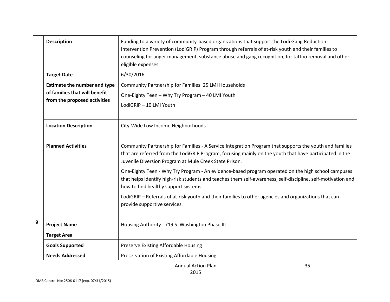|   | <b>Description</b>                                                                                   | Funding to a variety of community-based organizations that support the Lodi Gang Reduction<br>Intervention Prevention (LodiGRIP) Program through referrals of at-risk youth and their families to<br>counseling for anger management, substance abuse and gang recognition, for tattoo removal and other<br>eligible expenses. |
|---|------------------------------------------------------------------------------------------------------|--------------------------------------------------------------------------------------------------------------------------------------------------------------------------------------------------------------------------------------------------------------------------------------------------------------------------------|
|   | <b>Target Date</b>                                                                                   | 6/30/2016                                                                                                                                                                                                                                                                                                                      |
|   | <b>Estimate the number and type</b><br>of families that will benefit<br>from the proposed activities | Community Partnership for Families: 25 LMI Households<br>One-Eighty Teen - Why Try Program - 40 LMI Youth<br>LodiGRIP - 10 LMI Youth                                                                                                                                                                                           |
|   | <b>Location Description</b>                                                                          | City-Wide Low Income Neighborhoods                                                                                                                                                                                                                                                                                             |
|   | <b>Planned Activities</b>                                                                            | Community Partnership for Families - A Service Integration Program that supports the youth and families<br>that are referred from the LodiGRIP Program, focusing mainly on the youth that have participated in the<br>Juvenile Diversion Program at Mule Creek State Prison.                                                   |
|   |                                                                                                      | One-Eighty Teen - Why Try Program - An evidence-based program operated on the high school campuses<br>that helps identify high-risk students and teaches them self-awareness, self-discipline, self-motivation and<br>how to find healthy support systems.                                                                     |
|   |                                                                                                      | LodiGRIP - Referrals of at-risk youth and their families to other agencies and organizations that can<br>provide supportive services.                                                                                                                                                                                          |
| 9 | <b>Project Name</b>                                                                                  | Housing Authority - 719 S. Washington Phase III                                                                                                                                                                                                                                                                                |
|   | <b>Target Area</b>                                                                                   |                                                                                                                                                                                                                                                                                                                                |
|   | <b>Goals Supported</b>                                                                               | Preserve Existing Affordable Housing                                                                                                                                                                                                                                                                                           |
|   | <b>Needs Addressed</b>                                                                               | Preservation of Existing Affordable Housing                                                                                                                                                                                                                                                                                    |
|   |                                                                                                      | 35<br><b>Annual Action Plan</b>                                                                                                                                                                                                                                                                                                |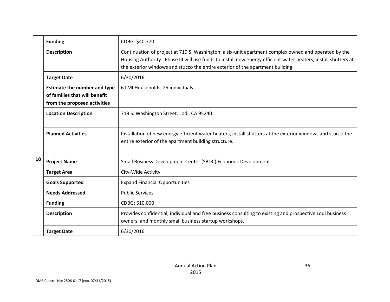|                                                                                                                                           | <b>Funding</b>              | CDBG: \$40,770                                                                                                                                                                                                                                                                                           |
|-------------------------------------------------------------------------------------------------------------------------------------------|-----------------------------|----------------------------------------------------------------------------------------------------------------------------------------------------------------------------------------------------------------------------------------------------------------------------------------------------------|
|                                                                                                                                           | <b>Description</b>          | Continuation of project at 719 S. Washington, a six-unit apartment complex owned and operated by the<br>Housing Authority. Phase III will use funds to install new energy efficient water heaters, install shutters at<br>the exterior windows and stucco the entire exterior of the apartment building. |
| 6/30/2016<br><b>Target Date</b>                                                                                                           |                             |                                                                                                                                                                                                                                                                                                          |
| <b>Estimate the number and type</b><br>6 LMI Households, 25 individuals.<br>of families that will benefit<br>from the proposed activities |                             |                                                                                                                                                                                                                                                                                                          |
|                                                                                                                                           | <b>Location Description</b> | 719 S. Washington Street, Lodi, CA 95240                                                                                                                                                                                                                                                                 |
|                                                                                                                                           | <b>Planned Activities</b>   | Installation of new energy efficient water heaters, install shutters at the exterior windows and stucco the<br>entire exterior of the apartment building structure.                                                                                                                                      |
| 10                                                                                                                                        | <b>Project Name</b>         | Small Business Development Center (SBDC) Economic Development                                                                                                                                                                                                                                            |
|                                                                                                                                           | <b>Target Area</b>          | City-Wide Activity                                                                                                                                                                                                                                                                                       |
|                                                                                                                                           | <b>Goals Supported</b>      | <b>Expand Financial Opportunities</b>                                                                                                                                                                                                                                                                    |
|                                                                                                                                           | <b>Needs Addressed</b>      | <b>Public Services</b>                                                                                                                                                                                                                                                                                   |
|                                                                                                                                           | <b>Funding</b>              | CDBG: \$10,000                                                                                                                                                                                                                                                                                           |
|                                                                                                                                           | <b>Description</b>          | Provides confidential, individual and free business consulting to existing and prospective Lodi business<br>owners, and monthly small business startup workshops.                                                                                                                                        |
|                                                                                                                                           | <b>Target Date</b>          | 6/30/2016                                                                                                                                                                                                                                                                                                |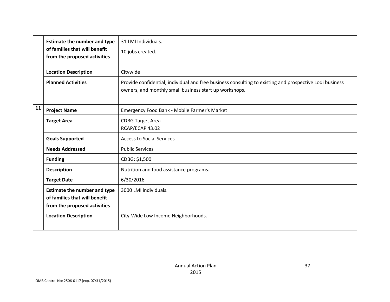|    | <b>Estimate the number and type</b><br>of families that will benefit<br>from the proposed activities | 31 LMI Individuals.<br>10 jobs created.                                                                                                                           |
|----|------------------------------------------------------------------------------------------------------|-------------------------------------------------------------------------------------------------------------------------------------------------------------------|
|    | <b>Location Description</b>                                                                          | Citywide                                                                                                                                                          |
|    | <b>Planned Activities</b>                                                                            | Provide confidential, individual and free business consulting to existing and prospective Lodi business<br>owners, and monthly small business start up workshops. |
| 11 | <b>Project Name</b>                                                                                  | Emergency Food Bank - Mobile Farmer's Market                                                                                                                      |
|    | <b>Target Area</b>                                                                                   | <b>CDBG Target Area</b><br>RCAP/ECAP 43.02                                                                                                                        |
|    | <b>Goals Supported</b>                                                                               | <b>Access to Social Services</b>                                                                                                                                  |
|    | <b>Needs Addressed</b>                                                                               | <b>Public Services</b>                                                                                                                                            |
|    | <b>Funding</b>                                                                                       | CDBG: \$1,500                                                                                                                                                     |
|    | <b>Description</b>                                                                                   | Nutrition and food assistance programs.                                                                                                                           |
|    | <b>Target Date</b>                                                                                   | 6/30/2016                                                                                                                                                         |
|    | <b>Estimate the number and type</b><br>of families that will benefit<br>from the proposed activities | 3000 LMI individuals.                                                                                                                                             |
|    | <b>Location Description</b>                                                                          | City-Wide Low Income Neighborhoods.                                                                                                                               |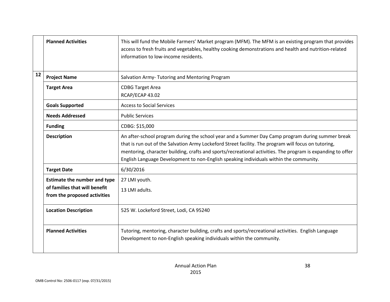|    | <b>Planned Activities</b>                                                                            | This will fund the Mobile Farmers' Market program (MFM). The MFM is an existing program that provides<br>access to fresh fruits and vegetables, healthy cooking demonstrations and health and nutrition-related<br>information to low-income residents.                                                                                                                                                           |
|----|------------------------------------------------------------------------------------------------------|-------------------------------------------------------------------------------------------------------------------------------------------------------------------------------------------------------------------------------------------------------------------------------------------------------------------------------------------------------------------------------------------------------------------|
| 12 | <b>Project Name</b>                                                                                  | Salvation Army- Tutoring and Mentoring Program                                                                                                                                                                                                                                                                                                                                                                    |
|    | <b>Target Area</b>                                                                                   | <b>CDBG Target Area</b><br>RCAP/ECAP 43.02                                                                                                                                                                                                                                                                                                                                                                        |
|    | <b>Goals Supported</b>                                                                               | <b>Access to Social Services</b>                                                                                                                                                                                                                                                                                                                                                                                  |
|    | <b>Needs Addressed</b>                                                                               | <b>Public Services</b>                                                                                                                                                                                                                                                                                                                                                                                            |
|    | <b>Funding</b>                                                                                       | CDBG: \$15,000                                                                                                                                                                                                                                                                                                                                                                                                    |
|    | <b>Description</b>                                                                                   | An after-school program during the school year and a Summer Day Camp program during summer break<br>that is run out of the Salvation Army Lockeford Street facility. The program will focus on tutoring,<br>mentoring, character building, crafts and sports/recreational activities. The program is expanding to offer<br>English Language Development to non-English speaking individuals within the community. |
|    | <b>Target Date</b>                                                                                   | 6/30/2016                                                                                                                                                                                                                                                                                                                                                                                                         |
|    | <b>Estimate the number and type</b><br>of families that will benefit<br>from the proposed activities | 27 LMI youth.<br>13 LMI adults.                                                                                                                                                                                                                                                                                                                                                                                   |
|    | <b>Location Description</b>                                                                          | 525 W. Lockeford Street, Lodi, CA 95240                                                                                                                                                                                                                                                                                                                                                                           |
|    | <b>Planned Activities</b>                                                                            | Tutoring, mentoring, character building, crafts and sports/recreational activities. English Language<br>Development to non-English speaking individuals within the community.                                                                                                                                                                                                                                     |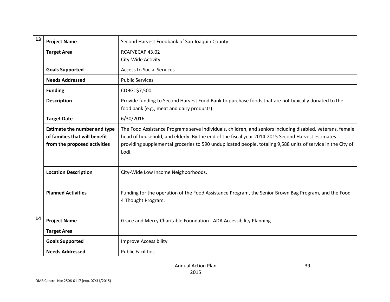| 13 | <b>Project Name</b>                                                                                  | Second Harvest Foodbank of San Joaquin County                                                                                                                                                                                                                                                                                          |
|----|------------------------------------------------------------------------------------------------------|----------------------------------------------------------------------------------------------------------------------------------------------------------------------------------------------------------------------------------------------------------------------------------------------------------------------------------------|
|    | <b>Target Area</b>                                                                                   | RCAP/ECAP 43.02<br>City-Wide Activity                                                                                                                                                                                                                                                                                                  |
|    | <b>Goals Supported</b>                                                                               | <b>Access to Social Services</b>                                                                                                                                                                                                                                                                                                       |
|    | <b>Needs Addressed</b>                                                                               | <b>Public Services</b>                                                                                                                                                                                                                                                                                                                 |
|    | <b>Funding</b>                                                                                       | CDBG: \$7,500                                                                                                                                                                                                                                                                                                                          |
|    | <b>Description</b>                                                                                   | Provide funding to Second Harvest Food Bank to purchase foods that are not typically donated to the<br>food bank (e.g., meat and dairy products).                                                                                                                                                                                      |
|    | <b>Target Date</b>                                                                                   | 6/30/2016                                                                                                                                                                                                                                                                                                                              |
|    | <b>Estimate the number and type</b><br>of families that will benefit<br>from the proposed activities | The Food Assistance Programs serve individuals, children, and seniors including disabled, veterans, female<br>head of household, and elderly. By the end of the fiscal year 2014-2015 Second Harvest estimates<br>providing supplemental groceries to 590 unduplicated people, totaling 9,588 units of service in the City of<br>Lodi. |
|    | <b>Location Description</b>                                                                          | City-Wide Low Income Neighborhoods.                                                                                                                                                                                                                                                                                                    |
|    | <b>Planned Activities</b>                                                                            | Funding for the operation of the Food Assistance Program, the Senior Brown Bag Program, and the Food<br>4 Thought Program.                                                                                                                                                                                                             |
| 14 | <b>Project Name</b>                                                                                  | Grace and Mercy Charitable Foundation - ADA Accessibility Planning                                                                                                                                                                                                                                                                     |
|    | <b>Target Area</b>                                                                                   |                                                                                                                                                                                                                                                                                                                                        |
|    | <b>Goals Supported</b>                                                                               | <b>Improve Accessibility</b>                                                                                                                                                                                                                                                                                                           |
|    | <b>Needs Addressed</b>                                                                               | <b>Public Facilities</b>                                                                                                                                                                                                                                                                                                               |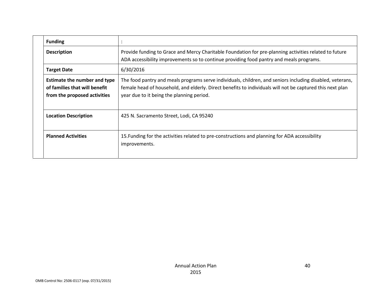|  | <b>Funding</b>                                                                                |                                                                                                                                                                                                                                                                     |
|--|-----------------------------------------------------------------------------------------------|---------------------------------------------------------------------------------------------------------------------------------------------------------------------------------------------------------------------------------------------------------------------|
|  | <b>Description</b>                                                                            | Provide funding to Grace and Mercy Charitable Foundation for pre-planning activities related to future<br>ADA accessibility improvements so to continue providing food pantry and meals programs.                                                                   |
|  | <b>Target Date</b>                                                                            | 6/30/2016                                                                                                                                                                                                                                                           |
|  | Estimate the number and type<br>of families that will benefit<br>from the proposed activities | The food pantry and meals programs serve individuals, children, and seniors including disabled, veterans,<br>female head of household, and elderly. Direct benefits to individuals will not be captured this next plan<br>year due to it being the planning period. |
|  | <b>Location Description</b>                                                                   | 425 N. Sacramento Street, Lodi, CA 95240                                                                                                                                                                                                                            |
|  | <b>Planned Activities</b>                                                                     | 15. Funding for the activities related to pre-constructions and planning for ADA accessibility<br>improvements.                                                                                                                                                     |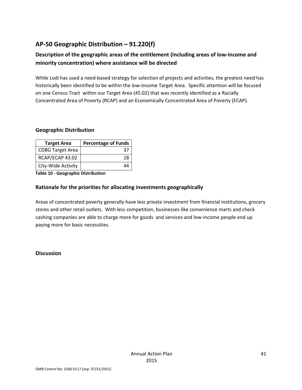# AP-50 Geographic Distribution – 91.220(f)

# Description of the geographic areas of the entitlement (including areas of low-income and minority concentration) where assistance will be directed

While Lodi has used a need-based strategy for selection of projects and activities, the greatest need has historically been identified to be within the low-income Target Area. Specific attention will be focused on one Census Tract within our Target Area (45.02) that was recently identified as a Racially Concentrated Area of Poverty (RCAP) and an Economically Concentrated Area of Poverty (ECAP).

#### Geographic Distribution

| <b>Target Area</b>      | <b>Percentage of Funds</b> |
|-------------------------|----------------------------|
| <b>CDBG Target Area</b> | 37                         |
| RCAP/ECAP 43.02         | 18                         |
| City-Wide Activity      | ΔΔ                         |

Table 10 - Geographic Distribution

#### Rationale for the priorities for allocating investments geographically

Areas of concentrated poverty generally have less private investment from financial institutions, grocery stores and other retail outlets. With less competition, businesses like convenience marts and check cashing companies are able to charge more for goods and services and low-income people end up paying more for basic necessities.

#### **Discussion**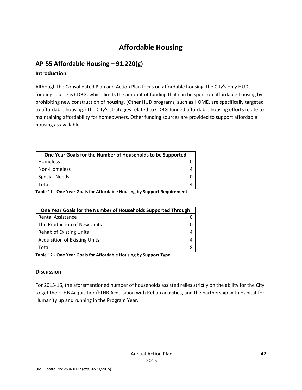# Affordable Housing

# AP-55 Affordable Housing – 91.220(g)

#### Introduction

Although the Consolidated Plan and Action Plan focus on affordable housing, the City's only HUD funding source is CDBG, which limits the amount of funding that can be spent on affordable housing by prohibiting new construction of housing. (Other HUD programs, such as HOME, are specifically targeted to affordable housing.) The City's strategies related to CDBG-funded affordable housing efforts relate to maintaining affordability for homeowners. Other funding sources are provided to support affordable housing as available.

| One Year Goals for the Number of Households to be Supported |  |
|-------------------------------------------------------------|--|
| <b>Homeless</b>                                             |  |
| Non-Homeless                                                |  |
| Special-Needs                                               |  |
| Total                                                       |  |
| _ _ _ _ _ _ _ _ _ _ _ _<br>$\cdot$ .                        |  |

Table 11 - One Year Goals for Affordable Housing by Support Requirement

| One Year Goals for the Number of Households Supported Through    |  |  |
|------------------------------------------------------------------|--|--|
| <b>Rental Assistance</b>                                         |  |  |
| The Production of New Units                                      |  |  |
| <b>Rehab of Existing Units</b>                                   |  |  |
| <b>Acquisition of Existing Units</b>                             |  |  |
| Total                                                            |  |  |
| Table 12 - One Year Goals for Affordable Housing by Support Type |  |  |

#### **Discussion**

For 2015-16, the aforementioned number of households assisted relies strictly on the ability for the City to get the FTHB Acquisition/FTHB Acquisition with Rehab activities, and the partnership with Habitat for Humanity up and running in the Program Year.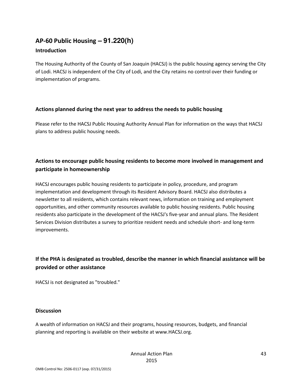# AP-60 Public Housing **– 91.220(h)**

#### Introduction

The Housing Authority of the County of San Joaquin (HACSJ) is the public housing agency serving the City of Lodi. HACSJ is independent of the City of Lodi, and the City retains no control over their funding or implementation of programs.

#### Actions planned during the next year to address the needs to public housing

Please refer to the HACSJ Public Housing Authority Annual Plan for information on the ways that HACSJ plans to address public housing needs.

# Actions to encourage public housing residents to become more involved in management and participate in homeownership

HACSJ encourages public housing residents to participate in policy, procedure, and program implementation and development through its Resident Advisory Board. HACSJ also distributes a newsletter to all residents, which contains relevant news, information on training and employment opportunities, and other community resources available to public housing residents. Public housing residents also participate in the development of the HACSJ's five-year and annual plans. The Resident Services Division distributes a survey to prioritize resident needs and schedule short- and long-term improvements.

# If the PHA is designated as troubled, describe the manner in which financial assistance will be provided or other assistance

HACSJ is not designated as "troubled."

#### **Discussion**

A wealth of information on HACSJ and their programs, housing resources, budgets, and financial planning and reporting is available on their website at www.HACSJ.org.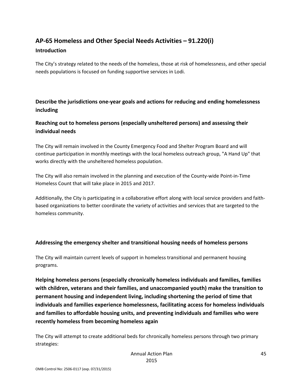# AP-65 Homeless and Other Special Needs Activities – 91.220(i)

#### Introduction

The City's strategy related to the needs of the homeless, those at risk of homelessness, and other special needs populations is focused on funding supportive services in Lodi.

# Describe the jurisdictions one-year goals and actions for reducing and ending homelessness including

### Reaching out to homeless persons (especially unsheltered persons) and assessing their individual needs

The City will remain involved in the County Emergency Food and Shelter Program Board and will continue participation in monthly meetings with the local homeless outreach group, "A Hand Up" that works directly with the unsheltered homeless population.

The City will also remain involved in the planning and execution of the County-wide Point-in-Time Homeless Count that will take place in 2015 and 2017.

Additionally, the City is participating in a collaborative effort along with local service providers and faithbased organizations to better coordinate the variety of activities and services that are targeted to the homeless community.

### Addressing the emergency shelter and transitional housing needs of homeless persons

The City will maintain current levels of support in homeless transitional and permanent housing programs.

Helping homeless persons (especially chronically homeless individuals and families, families with children, veterans and their families, and unaccompanied youth) make the transition to permanent housing and independent living, including shortening the period of time that individuals and families experience homelessness, facilitating access for homeless individuals and families to affordable housing units, and preventing individuals and families who were recently homeless from becoming homeless again

The City will attempt to create additional beds for chronically homeless persons through two primary strategies: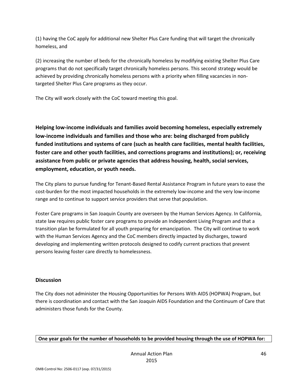(1) having the CoC apply for additional new Shelter Plus Care funding that will target the chronically homeless, and

(2) increasing the number of beds for the chronically homeless by modifying existing Shelter Plus Care programs that do not specifically target chronically homeless persons. This second strategy would be achieved by providing chronically homeless persons with a priority when filling vacancies in nontargeted Shelter Plus Care programs as they occur.

The City will work closely with the CoC toward meeting this goal.

Helping low-income individuals and families avoid becoming homeless, especially extremely low-income individuals and families and those who are: being discharged from publicly funded institutions and systems of care (such as health care facilities, mental health facilities, foster care and other youth facilities, and corrections programs and institutions); or, receiving assistance from public or private agencies that address housing, health, social services, employment, education, or youth needs.

The City plans to pursue funding for Tenant-Based Rental Assistance Program in future years to ease the cost-burden for the most impacted households in the extremely low-income and the very low-income range and to continue to support service providers that serve that population.

Foster Care programs in San Joaquin County are overseen by the Human Services Agency. In California, state law requires public foster care programs to provide an Independent Living Program and that a transition plan be formulated for all youth preparing for emancipation. The City will continue to work with the Human Services Agency and the CoC members directly impacted by discharges, toward developing and implementing written protocols designed to codify current practices that prevent persons leaving foster care directly to homelessness.

#### **Discussion**

The City does not administer the Housing Opportunities for Persons With AIDS (HOPWA) Program, but there is coordination and contact with the San Joaquin AIDS Foundation and the Continuum of Care that administers those funds for the County.

One year goals for the number of households to be provided housing through the use of HOPWA for: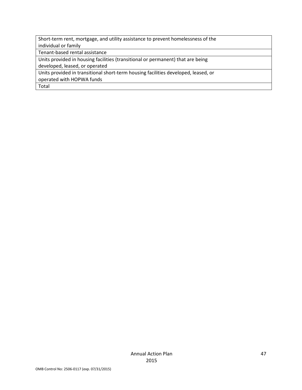Short-term rent, mortgage, and utility assistance to prevent homelessness of the individual or family

Tenant-based rental assistance

Units provided in housing facilities (transitional or permanent) that are being

developed, leased, or operated

Units provided in transitional short-term housing facilities developed, leased, or

operated with HOPWA funds

Total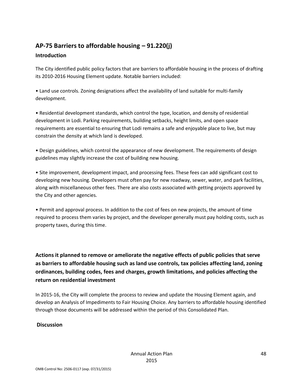# AP-75 Barriers to affordable housing – 91.220(j)

#### **Introduction**

The City identified public policy factors that are barriers to affordable housing in the process of drafting its 2010-2016 Housing Element update. Notable barriers included:

• Land use controls. Zoning designations affect the availability of land suitable for multi-family development.

• Residential development standards, which control the type, location, and density of residential development in Lodi. Parking requirements, building setbacks, height limits, and open space requirements are essential to ensuring that Lodi remains a safe and enjoyable place to live, but may constrain the density at which land is developed.

• Design guidelines, which control the appearance of new development. The requirements of design guidelines may slightly increase the cost of building new housing.

• Site improvement, development impact, and processing fees. These fees can add significant cost to developing new housing. Developers must often pay for new roadway, sewer, water, and park facilities, along with miscellaneous other fees. There are also costs associated with getting projects approved by the City and other agencies.

• Permit and approval process. In addition to the cost of fees on new projects, the amount of time required to process them varies by project, and the developer generally must pay holding costs, such as property taxes, during this time.

Actions it planned to remove or ameliorate the negative effects of public policies that serve as barriers to affordable housing such as land use controls, tax policies affecting land, zoning ordinances, building codes, fees and charges, growth limitations, and policies affecting the return on residential investment

In 2015-16, the City will complete the process to review and update the Housing Element again, and develop an Analysis of Impediments to Fair Housing Choice. Any barriers to affordable housing identified through those documents will be addressed within the period of this Consolidated Plan.

### **Discussion**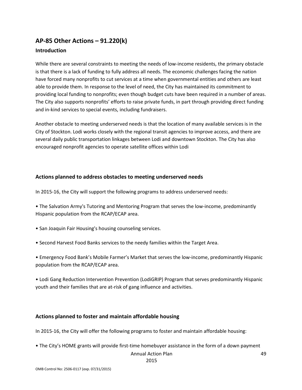### AP-85 Other Actions – 91.220(k)

#### **Introduction**

While there are several constraints to meeting the needs of low-income residents, the primary obstacle is that there is a lack of funding to fully address all needs. The economic challenges facing the nation have forced many nonprofits to cut services at a time when governmental entities and others are least able to provide them. In response to the level of need, the City has maintained its commitment to providing local funding to nonprofits; even though budget cuts have been required in a number of areas. The City also supports nonprofits' efforts to raise private funds, in part through providing direct funding and in-kind services to special events, including fundraisers.

Another obstacle to meeting underserved needs is that the location of many available services is in the City of Stockton. Lodi works closely with the regional transit agencies to improve access, and there are several daily public transportation linkages between Lodi and downtown Stockton. The City has also encouraged nonprofit agencies to operate satellite offices within Lodi

#### Actions planned to address obstacles to meeting underserved needs

In 2015-16, the City will support the following programs to address underserved needs:

• The Salvation Army's Tutoring and Mentoring Program that serves the low-income, predominantly Hispanic population from the RCAP/ECAP area.

- San Joaquin Fair Housing's housing counseling services.
- Second Harvest Food Banks services to the needy families within the Target Area.

• Emergency Food Bank's Mobile Farmer's Market that serves the low-income, predominantly Hispanic population from the RCAP/ECAP area.

• Lodi Gang Reduction Intervention Prevention (LodiGRIP) Program that serves predominantly Hispanic youth and their families that are at-risk of gang influence and activities.

#### Actions planned to foster and maintain affordable housing

In 2015-16, the City will offer the following programs to foster and maintain affordable housing:

• The City's HOME grants will provide first-time homebuyer assistance in the form of a down payment

#### Annual Action Plan

2015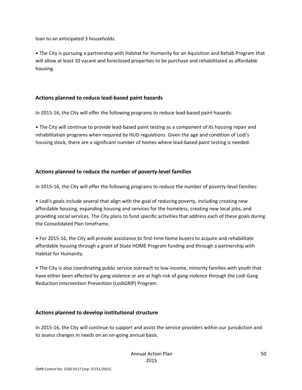loan to an anticipated 3 households.

• The City is pursuing a partnership with Habitat for Humanity for an Aquisition and Rehab Program that will allow at least 10 vacant and foreclosed properties to be purchase and rehabilitated as affordable housing.

#### Actions planned to reduce lead-based paint hazards

In 2015-16, the City will offer the following programs to reduce lead-based paint hazards:

• The City will continue to provide lead-based paint testing as a component of its housing repair and rehabilitation programs when required by HUD regulations. Given the age and condition of Lodi's housing stock, there are a significant number of homes where lead-based paint testing is needed.

#### Actions planned to reduce the number of poverty-level families

In 2015-16, the City will offer the following programs to reduce the number of poverty-level families:

• Lodi's goals include several that align with the goal of reducing poverty, including creating new affordable housing, expanding housing and services for the homeless, creating new local jobs, and providing social services. The City plans to fund specific activities that address each of these goals during the Consolidated Plan timeframe.

• For 2015-16, the City will provide assistance to first-time home buyers to acquire and rehabilitate affordable housing through a grant of State HOME Program funding and through a partnership with Habitat for Humanity.

• The City is also coordinating public service outreach to low-income, minority families with youth that have either been affected by gang violence or are at high-risk of gang violence through the Lodi Gang Reduction Intervention Prevention (LodiGRIP) Program.

#### Actions planned to develop institutional structure

In 2015-16, the City will continue to support and assist the service providers within our jurisdiction and to assess changes in needs on an on-going annual basis.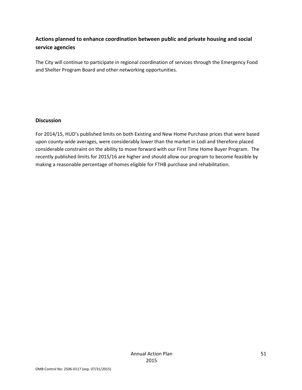## Actions planned to enhance coordination between public and private housing and social service agencies

The City will continue to participate in regional coordination of services through the Emergency Food and Shelter Program Board and other networking opportunities.

#### Discussion

For 2014/15, HUD's published limits on both Existing and New Home Purchase prices that were based upon county-wide averages, were considerably lower than the market in Lodi and therefore placed considerable constraint on the ability to move forward with our First Time Home Buyer Program. The recently published limits for 2015/16 are higher and should allow our program to become feasible by making a reasonable percentage of homes eligible for FTHB purchase and rehabilitation.